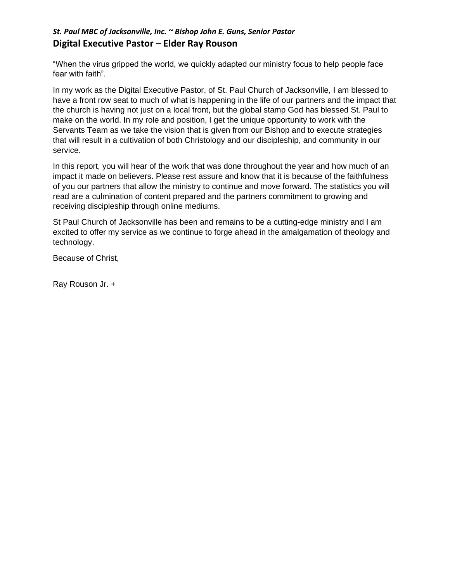## *St. Paul MBC of Jacksonville, Inc. ~ Bishop John E. Guns, Senior Pastor*  **Digital Executive Pastor – Elder Ray Rouson**

"When the virus gripped the world, we quickly adapted our ministry focus to help people face fear with faith".

In my work as the Digital Executive Pastor, of St. Paul Church of Jacksonville, I am blessed to have a front row seat to much of what is happening in the life of our partners and the impact that the church is having not just on a local front, but the global stamp God has blessed St. Paul to make on the world. In my role and position, I get the unique opportunity to work with the Servants Team as we take the vision that is given from our Bishop and to execute strategies that will result in a cultivation of both Christology and our discipleship, and community in our service.

In this report, you will hear of the work that was done throughout the year and how much of an impact it made on believers. Please rest assure and know that it is because of the faithfulness of you our partners that allow the ministry to continue and move forward. The statistics you will read are a culmination of content prepared and the partners commitment to growing and receiving discipleship through online mediums.

St Paul Church of Jacksonville has been and remains to be a cutting-edge ministry and I am excited to offer my service as we continue to forge ahead in the amalgamation of theology and technology.

Because of Christ,

Ray Rouson Jr. +